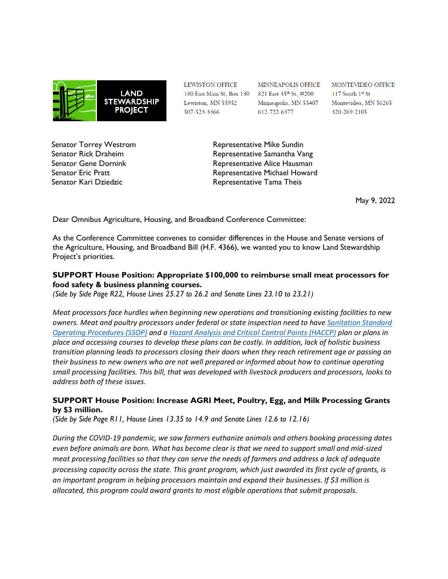

Senator Torrey Westrom Senator Rick Draheim Senator Gene Dornink Senator Eric Pratt Senator Kari Dziedzic

LEWISTON OFFICE Lewiston, MN 55952 507-523-3366

MINNEAPOLIS OFFICE 180 East Main St, Box 130 821 East 35<sup>th</sup> St, #200 Minneapolis, MN 55407 612-722-6377

MONTEVIDEO OFFICE 117 South 1st St Montevideo, MN 56265 320-269-2105

Representative Mike Sundin Representative Samantha Vang Representative Alice Hausman Representative Michael Howard Representative Tama Theis

May 9, 2022

Dear Omnibus Agriculture, Housing, and Broadband Conference Committee:

As the Conference Committee convenes to consider differences in the House and Senate versions of the Agriculture, Housing, and Broadband Bill (H.F. 4366), we wanted you to know Land Stewardship Project's priorities.

## **SUPPORT House Position: Appropriate \$100,000 to reimburse small meat processors for food safety & business planning courses.**

*(Side by Side Page R22, House Lines 25.27 to 26.2 and Senate Lines 23.10 to 23.21)*

*Meat processors face hurdles when beginning new operations and transitioning existing facilities to new owners. Meat and poultry processors under federal or state inspection need to have [Sanitation Standard](https://www.mda.state.mn.us/sites/default/files/docs/2020-04/Example%20SSOP.pdf)  [Operating Procedures \(SSOP\)](https://www.mda.state.mn.us/sites/default/files/docs/2020-04/Example%20SSOP.pdf) and a [Hazard Analysis and Critical Control Points \(HACCP\)](https://www.mda.state.mn.us/food-feed/haccp-ssop-information-resources) plan or plans in place and accessing courses to develop these plans can be costly. In addition, lack of holistic business transition planning leads to processors closing their doors when they reach retirement age or passing on their business to new owners who are not well prepared or informed about how to continue operating small processing facilities. This bill, that was developed with livestock producers and processors, looks to address both of these issues.*

## **SUPPORT House Position: Increase AGRI Meet, Poultry, Egg, and Milk Processing Grants by \$3 million.**

*(Side by Side Page R11, House Lines 13.35 to 14.9 and Senate Lines 12.6 to 12.16)*

*During the COVID-19 pandemic, we saw farmers euthanize animals and others booking processing dates even before animals are born. What has become clear is that we need to support small and mid-sized meat processing facilities so that they can serve the needs of farmers and address a lack of adequate processing capacity across the state. This grant program, which just awarded its first cycle of grants, is an important program in helping processors maintain and expand their businesses. If \$3 million is allocated, this program could award grants to most eligible operations that submit proposals.*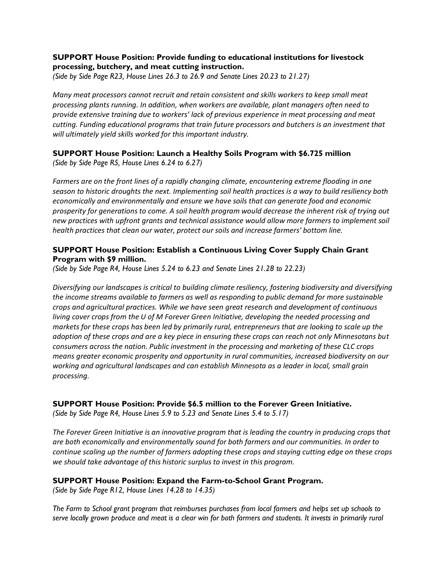## **SUPPORT House Position: Provide funding to educational institutions for livestock processing, butchery, and meat cutting instruction.**

*(Side by Side Page R23, House Lines 26.3 to 26.9 and Senate Lines 20.23 to 21.27)*

*Many meat processors cannot recruit and retain consistent and skills workers to keep small meat processing plants running. In addition, when workers are available, plant managers often need to provide extensive training due to workers' lack of previous experience in meat processing and meat cutting. Funding educational programs that train future processors and butchers is an investment that will ultimately yield skills worked for this important industry.*

### **SUPPORT House Position: Launch a Healthy Soils Program with \$6.725 million** *(Side by Side Page R5, House Lines 6.24 to 6.27)*

*Farmers are on the front lines of a rapidly changing climate, encountering extreme flooding in one season to historic droughts the next. Implementing soil health practices is a way to build resiliency both economically and environmentally and ensure we have soils that can generate food and economic prosperity for generations to come. A soil health program would decrease the inherent risk of trying out new practices with upfront grants and technical assistance would allow more farmers to implement soil health practices that clean our water, protect our soils and increase farmers' bottom line.* 

## **SUPPORT House Position: Establish a Continuous Living Cover Supply Chain Grant Program with \$9 million.**

*(Side by Side Page R4, House Lines 5.24 to 6.23 and Senate Lines 21.28 to 22.23)*

*Diversifying our landscapes is critical to building climate resiliency, fostering biodiversity and diversifying the income streams available to farmers as well as responding to public demand for more sustainable crops and agricultural practices. While we have seen great research and development of continuous living cover crops from the U of M Forever Green Initiative, developing the needed processing and markets for these crops has been led by primarily rural, entrepreneurs that are looking to scale up the adoption of these crops and are a key piece in ensuring these crops can reach not only Minnesotans but consumers across the nation. Public investment in the processing and marketing of these CLC crops means greater economic prosperity and opportunity in rural communities, increased biodiversity on our working and agricultural landscapes and can establish Minnesota as a leader in local, small grain processing.* 

## **SUPPORT House Position: Provide \$6.5 million to the Forever Green Initiative.**

*(Side by Side Page R4, House Lines 5.9 to 5.23 and Senate Lines 5.4 to 5.17)*

*The Forever Green Initiative is an innovative program that is leading the country in producing crops that are both economically and environmentally sound for both farmers and our communities. In order to continue scaling up the number of farmers adopting these crops and staying cutting edge on these crops we should take advantage of this historic surplus to invest in this program.* 

# **SUPPORT House Position: Expand the Farm-to-School Grant Program.**

*(Side by Side Page R12, House Lines 14.28 to 14.35)*

*The Farm to School grant program that reimburses purchases from local farmers and helps set up schools to*  serve locally grown produce and meat is a clear win for both farmers and students. It invests in primarily rural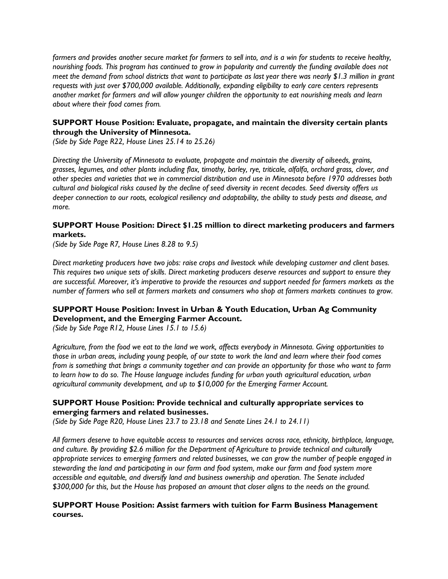*farmers and provides another secure market for farmers to sell into, and is a win for students to receive healthy, nourishing foods. This program has continued to grow in popularity and currently the funding available does not meet the demand from school districts that want to participate as last year there was nearly \$1.3 million in grant requests with just over \$700,000 available. Additionally, expanding eligibility to early care centers represents another market for farmers and will allow younger children the opportunity to eat nourishing meals and learn about where their food comes from.* 

## **SUPPORT House Position: Evaluate, propagate, and maintain the diversity certain plants through the University of Minnesota.**

*(Side by Side Page R22, House Lines 25.14 to 25.26)*

*Directing the University of Minnesota to evaluate, propagate and maintain the diversity of oilseeds, grains, grasses, legumes, and other plants including flax, timothy, barley, rye, triticale, alfalfa, orchard grass, clover, and other species and varieties that we in commercial distribution and use in Minnesota before 1970 addresses both cultural and biological risks caused by the decline of seed diversity in recent decades. Seed diversity offers us deeper connection to our roots, ecological resiliency and adaptability, the ability to study pests and disease, and more.*

## **SUPPORT House Position: Direct \$1.25 million to direct marketing producers and farmers markets.**

*(Side by Side Page R7, House Lines 8.28 to 9.5)*

*Direct marketing producers have two jobs: raise crops and livestock while developing customer and client bases. This requires two unique sets of skills. Direct marketing producers deserve resources and support to ensure they are successful. Moreover, it's imperative to provide the resources and support needed for farmers markets as the number of farmers who sell at farmers markets and consumers who shop at farmers markets continues to grow.*

## **SUPPORT House Position: Invest in Urban & Youth Education, Urban Ag Community Development, and the Emerging Farmer Account.**

*(Side by Side Page R12, House Lines 15.1 to 15.6)*

*Agriculture, from the food we eat to the land we work, affects everybody in Minnesota. Giving opportunities to those in urban areas, including young people, of our state to work the land and learn where their food comes from is something that brings a community together and can provide an opportunity for those who want to farm to learn how to do so. The House language includes funding for urban youth agricultural education, urban agricultural community development, and up to \$10,000 for the Emerging Farmer Account.*

### **SUPPORT House Position: Provide technical and culturally appropriate services to emerging farmers and related businesses.**

*(Side by Side Page R20, House Lines 23.7 to 23.18 and Senate Lines 24.1 to 24.11)*

*All farmers deserve to have equitable access to resources and services across race, ethnicity, birthplace, language, and culture. By providing \$2.6 million for the Department of Agriculture to provide technical and culturally appropriate services to emerging farmers and related businesses, we can grow the number of people engaged in stewarding the land and participating in our farm and food system, make our farm and food system more accessible and equitable, and diversify land and business ownership and operation. The Senate included \$300,000 for this, but the House has proposed an amount that closer aligns to the needs on the ground.*

### **SUPPORT House Position: Assist farmers with tuition for Farm Business Management courses.**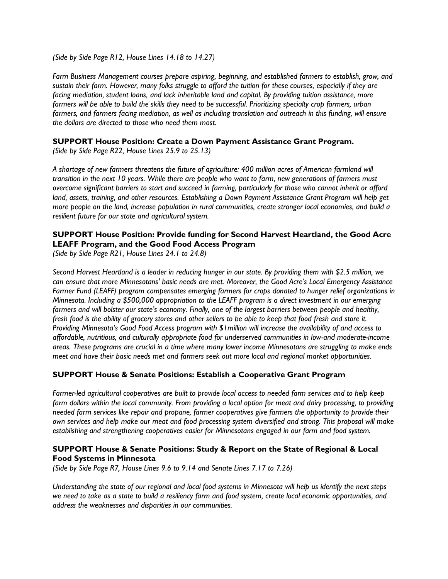*(Side by Side Page R12, House Lines 14.18 to 14.27)*

*Farm Business Management courses prepare aspiring, beginning, and established farmers to establish, grow, and sustain their farm. However, many folks struggle to afford the tuition for these courses, especially if they are facing mediation, student loans, and lack inheritable land and capital. By providing tuition assistance, more farmers will be able to build the skills they need to be successful. Prioritizing specialty crop farmers, urban*  farmers, and farmers facing mediation, as well as including translation and outreach in this funding, will ensure *the dollars are directed to those who need them most.*

#### **SUPPORT House Position: Create a Down Payment Assistance Grant Program.**

*(Side by Side Page R22, House Lines 25.9 to 25.13)*

*A shortage of new farmers threatens the future of agriculture: 400 million acres of American farmland will transition in the next 10 years. While there are people who want to farm, new generations of farmers must overcome significant barriers to start and succeed in farming, particularly for those who cannot inherit or afford land, assets, training, and other resources. Establishing a Down Payment Assistance Grant Program will help get more people on the land, increase population in rural communities, create stronger local economies, and build a resilient future for our state and agricultural system.* 

## **SUPPORT House Position: Provide funding for Second Harvest Heartland, the Good Acre LEAFF Program, and the Good Food Access Program**

*(Side by Side Page R21, House Lines 24.1 to 24.8)*

*Second Harvest Heartland is a leader in reducing hunger in our state. By providing them with \$2.5 million, we can ensure that more Minnesotans' basic needs are met. Moreover, the Good Acre's Local Emergency Assistance Farmer Fund (LEAFF) program compensates emerging farmers for crops donated to hunger relief organizations in Minnesota. Including a \$500,000 appropriation to the LEAFF program is a direct investment in our emerging farmers and will bolster our state's economy. Finally, one of the largest barriers between people and healthy, fresh food is the ability of grocery stores and other sellers to be able to keep that food fresh and store it. Providing Minnesota's Good Food Access program with \$1million will increase the availability of and access to affordable, nutritious, and culturally appropriate food for underserved communities in low-and moderate-income areas. These programs are crucial in a time where many lower income Minnesotans are struggling to make ends meet and have their basic needs met and farmers seek out more local and regional market opportunities.*

#### **SUPPORT House & Senate Positions: Establish a Cooperative Grant Program**

*Farmer-led agricultural cooperatives are built to provide local access to needed farm services and to help keep farm dollars within the local community. From providing a local option for meat and dairy processing, to providing needed farm services like repair and propane, farmer cooperatives give farmers the opportunity to provide their own services and help make our meat and food processing system diversified and strong. This proposal will make establishing and strengthening cooperatives easier for Minnesotans engaged in our farm and food system.*

### **SUPPORT House & Senate Positions: Study & Report on the State of Regional & Local Food Systems in Minnesota**

*(Side by Side Page R7, House Lines 9.6 to 9.14 and Senate Lines 7.17 to 7.26)*

*Understanding the state of our regional and local food systems in Minnesota will help us identify the next steps we need to take as a state to build a resiliency farm and food system, create local economic opportunities, and address the weaknesses and disparities in our communities.*